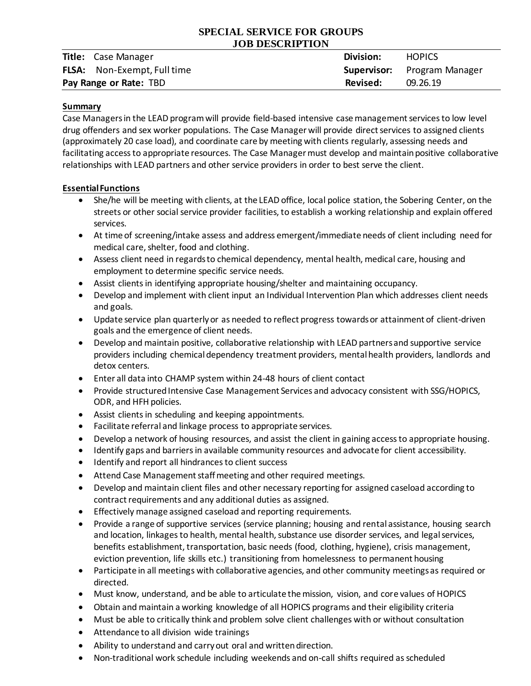# **SPECIAL SERVICE FOR GROUPS JOB DESCRIPTION**

|                                    | <b>Title:</b> Case Manager         | Division: | <b>HOPICS</b>                      |
|------------------------------------|------------------------------------|-----------|------------------------------------|
|                                    | <b>FLSA:</b> Non-Exempt, Full time |           | <b>Supervisor:</b> Program Manager |
| Revised:<br>Pay Range or Rate: TBD |                                    |           | 09.26.19                           |

## **Summary**

Case Managersin the LEAD program will provide field-based intensive case management services to low level drug offenders and sex worker populations. The Case Manager will provide direct services to assigned clients (approximately 20 case load), and coordinate care by meeting with clients regularly, assessing needs and facilitating access to appropriate resources. The Case Manager must develop and maintain positive collaborative relationships with LEAD partners and other service providers in order to best serve the client.

## **Essential Functions**

- She/he will be meeting with clients, at the LEAD office, local police station, the Sobering Center, on the streets or other social service provider facilities, to establish a working relationship and explain offered services.
- At time of screening/intake assess and address emergent/immediate needs of client including need for medical care, shelter, food and clothing.
- Assess client need in regards to chemical dependency, mental health, medical care, housing and employment to determine specific service needs.
- Assist clients in identifying appropriate housing/shelter and maintaining occupancy.
- Develop and implement with client input an Individual Intervention Plan which addresses client needs and goals.
- Update service plan quarterly or as needed to reflect progress towards or attainment of client-driven goals and the emergence of client needs.
- Develop and maintain positive, collaborative relationship with LEAD partners and supportive service providers including chemical dependency treatment providers, mental health providers, landlords and detox centers.
- Enter all data into CHAMP system within 24-48 hours of client contact
- Provide structured Intensive Case Management Services and advocacy consistent with SSG/HOPICS, ODR, and HFH policies.
- Assist clients in scheduling and keeping appointments.
- Facilitate referral and linkage process to appropriate services.
- Develop a network of housing resources, and assist the client in gaining access to appropriate housing.
- Identify gaps and barriers in available community resources and advocate for client accessibility.
- $\bullet$  Identify and report all hindrances to client success
- Attend Case Management staff meeting and other required meetings.
- Develop and maintain client files and other necessary reporting for assigned caseload according to contract requirements and any additional duties as assigned.
- Effectively manage assigned caseload and reporting requirements.
- Provide a range of supportive services (service planning; housing and rental assistance, housing search and location, linkages to health, mental health, substance use disorder services, and legal services, benefits establishment, transportation, basic needs (food, clothing, hygiene), crisis management, eviction prevention, life skills etc.) transitioning from homelessness to permanent housing
- Participate in all meetings with collaborative agencies, and other community meetings as required or directed.
- Must know, understand, and be able to articulate the mission, vision, and core values of HOPICS
- Obtain and maintain a working knowledge of all HOPICS programs and their eligibility criteria
- Must be able to critically think and problem solve client challenges with or without consultation
- Attendance to all division wide trainings
- Ability to understand and carry out oral and written direction.
- Non-traditional work schedule including weekends and on-call shifts required as scheduled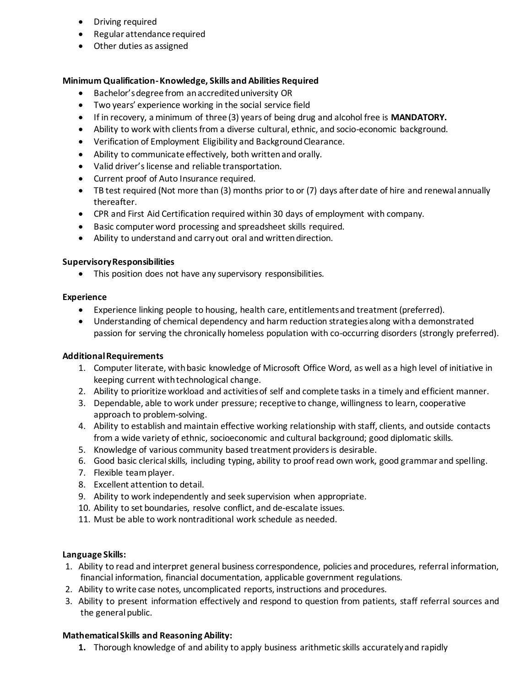- **•** Driving required
- Regular attendance required
- Other duties as assigned

### **Minimum Qualification-Knowledge, Skills and Abilities Required**

- Bachelor's degree from an accredited university OR
- Two years' experience working in the social service field
- If in recovery, a minimum of three (3) years of being drug and alcohol free is **MANDATORY.**
- Ability to work with clients from a diverse cultural, ethnic, and socio-economic background.
- Verification of Employment Eligibility and Background Clearance.
- Ability to communicate effectively, both written and orally.
- Valid driver's license and reliable transportation.
- Current proof of Auto Insurance required.
- TB test required (Not more than (3) months prior to or (7) days after date of hire and renewal annually thereafter.
- CPR and First Aid Certification required within 30 days of employment with company.
- Basic computer word processing and spreadsheet skills required.
- Ability to understand and carry out oral and written direction.

#### **Supervisory Responsibilities**

• This position does not have any supervisory responsibilities.

#### **Experience**

- Experience linking people to housing, health care, entitlements and treatment (preferred).
- Understanding of chemical dependency and harm reduction strategies along with a demonstrated passion for serving the chronically homeless population with co-occurring disorders (strongly preferred).

#### **Additional Requirements**

- 1. Computer literate, with basic knowledge of Microsoft Office Word, as well as a high level of initiative in keeping current with technological change.
- 2. Ability to prioritize workload and activities of self and complete tasks in a timely and efficient manner.
- 3. Dependable, able to work under pressure; receptive to change, willingness to learn, cooperative approach to problem-solving.
- 4. Ability to establish and maintain effective working relationship with staff, clients, and outside contacts from a wide variety of ethnic, socioeconomic and cultural background; good diplomatic skills.
- 5. Knowledge of various community based treatment providers is desirable.
- 6. Good basic clerical skills, including typing, ability to proof read own work, good grammar and spelling.
- 7. Flexible team player.
- 8. Excellent attention to detail.
- 9. Ability to work independently and seek supervision when appropriate.
- 10. Ability to set boundaries, resolve conflict, and de-escalate issues.
- 11. Must be able to work nontraditional work schedule as needed.

#### **Language Skills:**

- 1. Ability to read and interpret general business correspondence, policies and procedures, referral information, financial information, financial documentation, applicable government regulations.
- 2. Ability to write case notes, uncomplicated reports, instructions and procedures.
- 3. Ability to present information effectively and respond to question from patients, staff referral sources and the general public.

#### **Mathematical Skills and Reasoning Ability:**

**1.** Thorough knowledge of and ability to apply business arithmetic skills accurately and rapidly